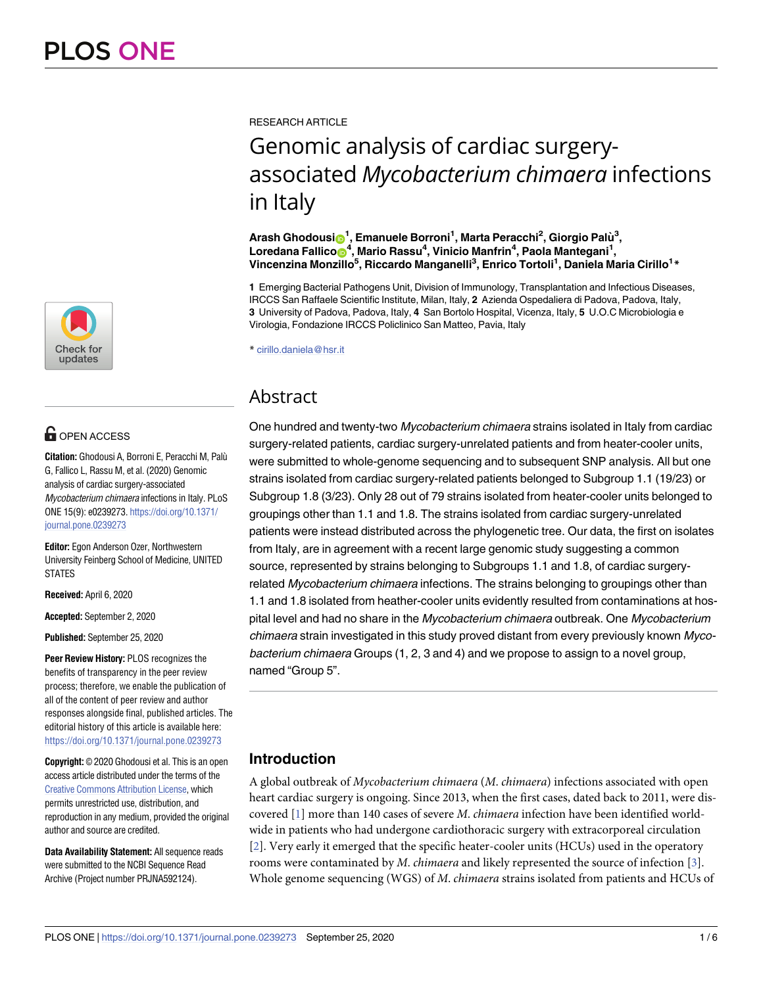

# **OPEN ACCESS**

**Citation:** Ghodousi A, Borroni E, Peracchi M, Palu` G, Fallico L, Rassu M, et al. (2020) Genomic analysis of cardiac surgery-associated Mycobacterium chimaera infections in Italy. PLoS ONE 15(9): e0239273. [https://doi.org/10.1371/](https://doi.org/10.1371/journal.pone.0239273) [journal.pone.0239273](https://doi.org/10.1371/journal.pone.0239273)

**Editor:** Egon Anderson Ozer, Northwestern University Feinberg School of Medicine, UNITED STATES

**Received:** April 6, 2020

**Accepted:** September 2, 2020

**Published:** September 25, 2020

**Peer Review History:** PLOS recognizes the benefits of transparency in the peer review process; therefore, we enable the publication of all of the content of peer review and author responses alongside final, published articles. The editorial history of this article is available here: <https://doi.org/10.1371/journal.pone.0239273>

**Copyright:** © 2020 Ghodousi et al. This is an open access article distributed under the terms of the Creative Commons [Attribution](http://creativecommons.org/licenses/by/4.0/) License, which permits unrestricted use, distribution, and reproduction in any medium, provided the original author and source are credited.

**Data Availability Statement:** All sequence reads were submitted to the NCBI Sequence Read Archive (Project number PRJNA592124).

<span id="page-0-0"></span>RESEARCH ARTICLE

# Genomic analysis of cardiac surgeryassociated *Mycobacterium chimaera* infections in Italy

 $\boldsymbol{\mathsf{A}}$ rash Ghodousi $\boldsymbol{\mathsf{D}}^1$ , Emanuele Borroni<sup>1</sup>, Marta Peracchi<sup>2</sup>, Giorgio Palù<sup>3</sup>,  $L$ oredana Fallico $\bigcirc^4$ , Mario Rassu<sup>4</sup>, Vinicio Manfrin<sup>4</sup>, Paola Mantegani<sup>1</sup>, **Vincenzina Monzillo5 , Riccardo Manganelli3 , Enrico Tortoli1 , Daniela Maria Cirillo1 \***

**1** Emerging Bacterial Pathogens Unit, Division of Immunology, Transplantation and Infectious Diseases, IRCCS San Raffaele Scientific Institute, Milan, Italy, **2** Azienda Ospedaliera di Padova, Padova, Italy, **3** University of Padova, Padova, Italy, **4** San Bortolo Hospital, Vicenza, Italy, **5** U.O.C Microbiologia e Virologia, Fondazione IRCCS Policlinico San Matteo, Pavia, Italy

\* cirillo.daniela@hsr.it

# Abstract

One hundred and twenty-two Mycobacterium chimaera strains isolated in Italy from cardiac surgery-related patients, cardiac surgery-unrelated patients and from heater-cooler units, were submitted to whole-genome sequencing and to subsequent SNP analysis. All but one strains isolated from cardiac surgery-related patients belonged to Subgroup 1.1 (19/23) or Subgroup 1.8 (3/23). Only 28 out of 79 strains isolated from heater-cooler units belonged to groupings other than 1.1 and 1.8. The strains isolated from cardiac surgery-unrelated patients were instead distributed across the phylogenetic tree. Our data, the first on isolates from Italy, are in agreement with a recent large genomic study suggesting a common source, represented by strains belonging to Subgroups 1.1 and 1.8, of cardiac surgeryrelated *Mycobacterium chimaera* infections. The strains belonging to groupings other than 1.1 and 1.8 isolated from heather-cooler units evidently resulted from contaminations at hospital level and had no share in the Mycobacterium chimaera outbreak. One Mycobacterium chimaera strain investigated in this study proved distant from every previously known Mycobacterium chimaera Groups (1, 2, 3 and 4) and we propose to assign to a novel group, named "Group 5".

# **Introduction**

A global outbreak of *Mycobacterium chimaera* (*M*. *chimaera*) infections associated with open heart cardiac surgery is ongoing. Since 2013, when the first cases, dated back to 2011, were discovered [[1\]](#page-4-0) more than 140 cases of severe *M*. *chimaera* infection have been identified worldwide in patients who had undergone cardiothoracic surgery with extracorporeal circulation [\[2](#page-5-0)]. Very early it emerged that the specific heater-cooler units (HCUs) used in the operatory rooms were contaminated by *M*. *chimaera* and likely represented the source of infection [[3\]](#page-5-0). Whole genome sequencing (WGS) of *M*. *chimaera* strains isolated from patients and HCUs of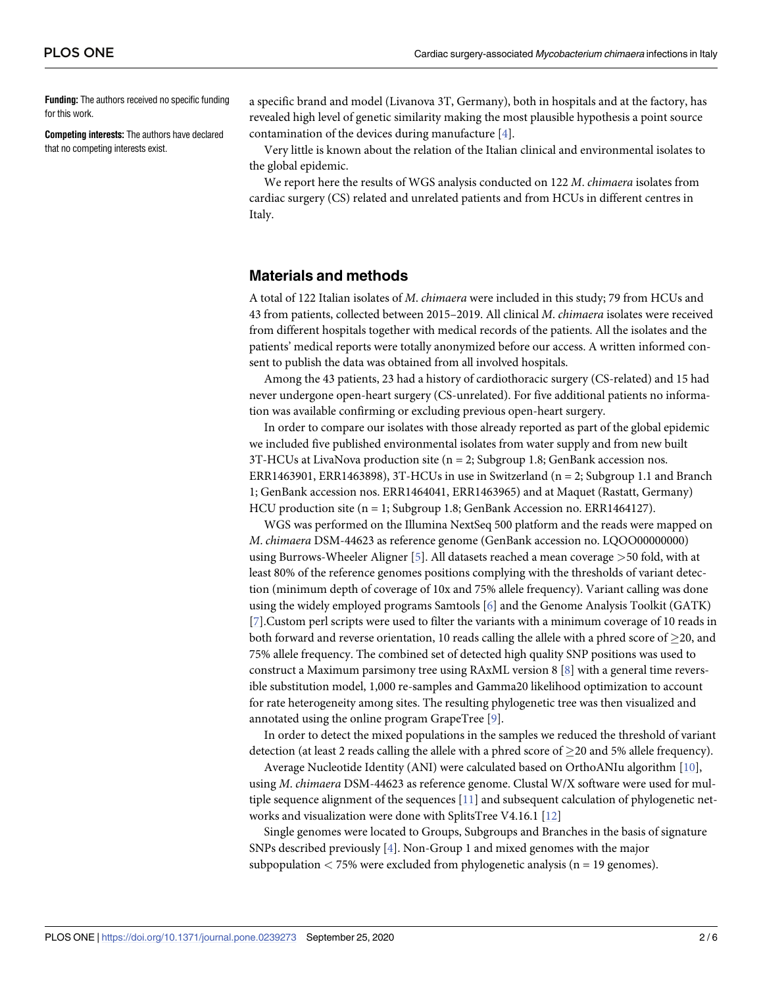<span id="page-1-0"></span>**Funding:** The authors received no specific funding for this work.

**Competing interests:** The authors have declared that no competing interests exist.

a specific brand and model (Livanova 3T, Germany), both in hospitals and at the factory, has revealed high level of genetic similarity making the most plausible hypothesis a point source contamination of the devices during manufacture [[4\]](#page-5-0).

Very little is known about the relation of the Italian clinical and environmental isolates to the global epidemic.

We report here the results of WGS analysis conducted on 122 *M*. *chimaera* isolates from cardiac surgery (CS) related and unrelated patients and from HCUs in different centres in Italy.

## **Materials and methods**

A total of 122 Italian isolates of *M*. *chimaera* were included in this study; 79 from HCUs and 43 from patients, collected between 2015–2019. All clinical *M*. *chimaera* isolates were received from different hospitals together with medical records of the patients. All the isolates and the patients' medical reports were totally anonymized before our access. A written informed consent to publish the data was obtained from all involved hospitals.

Among the 43 patients, 23 had a history of cardiothoracic surgery (CS-related) and 15 had never undergone open-heart surgery (CS-unrelated). For five additional patients no information was available confirming or excluding previous open-heart surgery.

In order to compare our isolates with those already reported as part of the global epidemic we included five published environmental isolates from water supply and from new built 3T-HCUs at LivaNova production site (n = 2; Subgroup 1.8; GenBank accession nos. ERR1463901, ERR1463898), 3T-HCUs in use in Switzerland ( $n = 2$ ; Subgroup 1.1 and Branch 1; GenBank accession nos. ERR1464041, ERR1463965) and at Maquet (Rastatt, Germany) HCU production site ( $n = 1$ ; Subgroup 1.8; GenBank Accession no. ERR1464127).

WGS was performed on the Illumina NextSeq 500 platform and the reads were mapped on *M*. *chimaera* DSM-44623 as reference genome (GenBank accession no. LQOO00000000) using Burrows-Wheeler Aligner [\[5\]](#page-5-0). All datasets reached a mean coverage *>*50 fold, with at least 80% of the reference genomes positions complying with the thresholds of variant detection (minimum depth of coverage of 10x and 75% allele frequency). Variant calling was done using the widely employed programs Samtools [[6\]](#page-5-0) and the Genome Analysis Toolkit (GATK) [\[7](#page-5-0)].Custom perl scripts were used to filter the variants with a minimum coverage of 10 reads in both forward and reverse orientation, 10 reads calling the allele with a phred score of  $\geq$ 20, and 75% allele frequency. The combined set of detected high quality SNP positions was used to construct a Maximum parsimony tree using RAxML version 8 [\[8\]](#page-5-0) with a general time reversible substitution model, 1,000 re-samples and Gamma20 likelihood optimization to account for rate heterogeneity among sites. The resulting phylogenetic tree was then visualized and annotated using the online program GrapeTree [\[9\]](#page-5-0).

In order to detect the mixed populations in the samples we reduced the threshold of variant detection (at least 2 reads calling the allele with a phred score of  $>$ 20 and 5% allele frequency).

Average Nucleotide Identity (ANI) were calculated based on OrthoANIu algorithm [[10\]](#page-5-0), using *M*. *chimaera* DSM-44623 as reference genome. Clustal W/X software were used for mul-tiple sequence alignment of the sequences [\[11\]](#page-5-0) and subsequent calculation of phylogenetic networks and visualization were done with SplitsTree V4.16.1 [[12](#page-5-0)]

Single genomes were located to Groups, Subgroups and Branches in the basis of signature SNPs described previously [[4\]](#page-5-0). Non-Group 1 and mixed genomes with the major subpopulation *<* 75% were excluded from phylogenetic analysis (n = 19 genomes).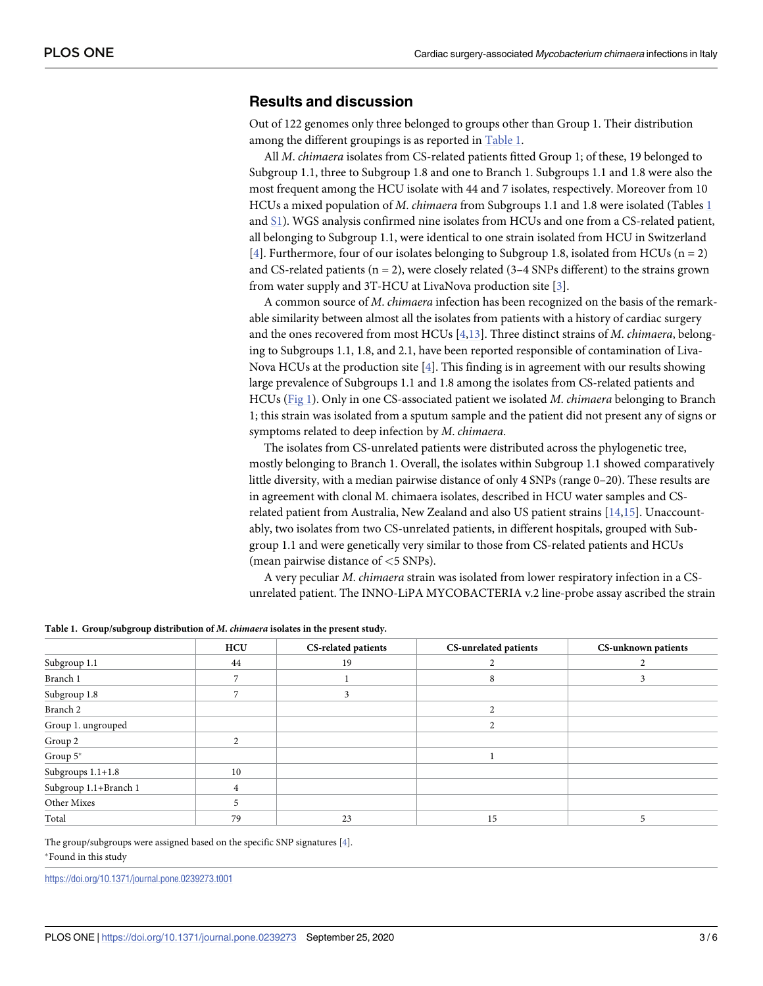### <span id="page-2-0"></span>**Results and discussion**

Out of 122 genomes only three belonged to groups other than Group 1. Their distribution among the different groupings is as reported in Table 1.

All *M*. *chimaera* isolates from CS-related patients fitted Group 1; of these, 19 belonged to Subgroup 1.1, three to Subgroup 1.8 and one to Branch 1. Subgroups 1.1 and 1.8 were also the most frequent among the HCU isolate with 44 and 7 isolates, respectively. Moreover from 10 HCUs a mixed population of *M*. *chimaera* from Subgroups 1.1 and 1.8 were isolated (Tables 1 and [S1\)](#page-4-0). WGS analysis confirmed nine isolates from HCUs and one from a CS-related patient, all belonging to Subgroup 1.1, were identical to one strain isolated from HCU in Switzerland [\[4](#page-5-0)]. Furthermore, four of our isolates belonging to Subgroup 1.8, isolated from HCUs ( $n = 2$ ) and CS-related patients ( $n = 2$ ), were closely related (3-4 SNPs different) to the strains grown from water supply and 3T-HCU at LivaNova production site [[3](#page-5-0)].

A common source of *M*. *chimaera* infection has been recognized on the basis of the remarkable similarity between almost all the isolates from patients with a history of cardiac surgery and the ones recovered from most HCUs [\[4,13\]](#page-5-0). Three distinct strains of *M*. *chimaera*, belonging to Subgroups 1.1, 1.8, and 2.1, have been reported responsible of contamination of Liva-Nova HCUs at the production site [\[4](#page-5-0)]. This finding is in agreement with our results showing large prevalence of Subgroups 1.1 and 1.8 among the isolates from CS-related patients and HCUs ([Fig](#page-3-0) 1). Only in one CS-associated patient we isolated *M*. *chimaera* belonging to Branch 1; this strain was isolated from a sputum sample and the patient did not present any of signs or symptoms related to deep infection by *M*. *chimaera*.

The isolates from CS-unrelated patients were distributed across the phylogenetic tree, mostly belonging to Branch 1. Overall, the isolates within Subgroup 1.1 showed comparatively little diversity, with a median pairwise distance of only 4 SNPs (range 0–20). These results are in agreement with clonal M. chimaera isolates, described in HCU water samples and CSrelated patient from Australia, New Zealand and also US patient strains [[14,15\]](#page-5-0). Unaccountably, two isolates from two CS-unrelated patients, in different hospitals, grouped with Subgroup 1.1 and were genetically very similar to those from CS-related patients and HCUs (mean pairwise distance of *<*5 SNPs).

A very peculiar *M*. *chimaera* strain was isolated from lower respiratory infection in a CSunrelated patient. The INNO-LiPA MYCOBACTERIA v.2 line-probe assay ascribed the strain

#### **Table 1. Group/subgroup distribution of** *M***.** *chimaera* **isolates in the present study.**

|                       | <b>HCU</b> | <b>CS-related patients</b> | CS-unrelated patients | <b>CS-unknown patients</b> |
|-----------------------|------------|----------------------------|-----------------------|----------------------------|
| Subgroup 1.1          | 44         | 19                         |                       |                            |
| Branch 1              |            |                            | 8                     |                            |
| Subgroup 1.8          |            |                            |                       |                            |
| Branch <sub>2</sub>   |            |                            |                       |                            |
| Group 1. ungrouped    |            |                            |                       |                            |
| Group 2               |            |                            |                       |                            |
| Group 5*              |            |                            |                       |                            |
| Subgroups 1.1+1.8     | 10         |                            |                       |                            |
| Subgroup 1.1+Branch 1 |            |                            |                       |                            |
| Other Mixes           |            |                            |                       |                            |
| Total                 | 79         | 23                         | 15                    |                            |

The group/subgroups were assigned based on the specific SNP signatures [[4\]](#page-5-0).

�Found in this study

<https://doi.org/10.1371/journal.pone.0239273.t001>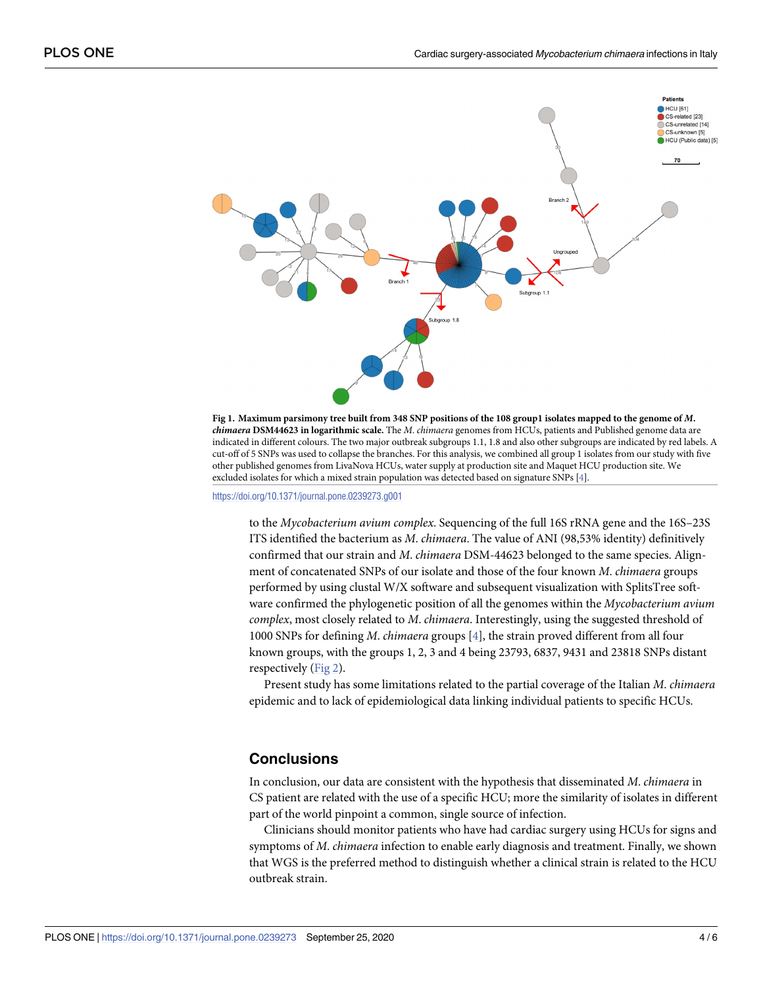<span id="page-3-0"></span>



<https://doi.org/10.1371/journal.pone.0239273.g001>

to the *Mycobacterium avium complex*. Sequencing of the full 16S rRNA gene and the 16S–23S ITS identified the bacterium as *M*. *chimaera*. The value of ANI (98,53% identity) definitively confirmed that our strain and *M*. *chimaera* DSM-44623 belonged to the same species. Alignment of concatenated SNPs of our isolate and those of the four known *M*. *chimaera* groups performed by using clustal W/X software and subsequent visualization with SplitsTree software confirmed the phylogenetic position of all the genomes within the *Mycobacterium avium complex*, most closely related to *M*. *chimaera*. Interestingly, using the suggested threshold of 1000 SNPs for defining *M*. *chimaera* groups [\[4](#page-5-0)], the strain proved different from all four known groups, with the groups 1, 2, 3 and 4 being 23793, 6837, 9431 and 23818 SNPs distant respectively [\(Fig](#page-4-0) 2).

Present study has some limitations related to the partial coverage of the Italian *M*. *chimaera* epidemic and to lack of epidemiological data linking individual patients to specific HCUs.

### **Conclusions**

In conclusion, our data are consistent with the hypothesis that disseminated *M*. *chimaera* in CS patient are related with the use of a specific HCU; more the similarity of isolates in different part of the world pinpoint a common, single source of infection.

Clinicians should monitor patients who have had cardiac surgery using HCUs for signs and symptoms of *M*. *chimaera* infection to enable early diagnosis and treatment. Finally, we shown that WGS is the preferred method to distinguish whether a clinical strain is related to the HCU outbreak strain.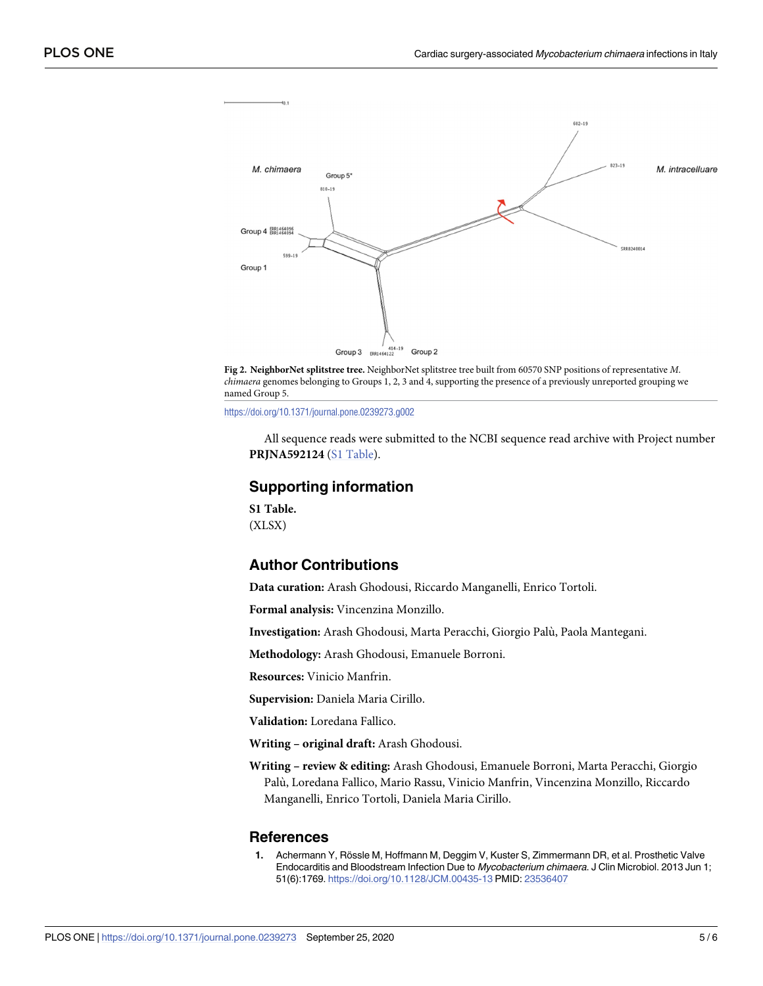<span id="page-4-0"></span>



<https://doi.org/10.1371/journal.pone.0239273.g002>

All sequence reads were submitted to the NCBI sequence read archive with Project number **PRJNA592124** (S1 Table).

#### **Supporting information**

**S1 [Table.](http://www.plosone.org/article/fetchSingleRepresentation.action?uri=info:doi/10.1371/journal.pone.0239273.s001)** (XLSX)

# **Author Contributions**

**Data curation:** Arash Ghodousi, Riccardo Manganelli, Enrico Tortoli.

**Formal analysis:** Vincenzina Monzillo.

**Investigation:** Arash Ghodousi, Marta Peracchi, Giorgio Palu`, Paola Mantegani.

**Methodology:** Arash Ghodousi, Emanuele Borroni.

**Resources:** Vinicio Manfrin.

**Supervision:** Daniela Maria Cirillo.

**Validation:** Loredana Fallico.

**Writing – original draft:** Arash Ghodousi.

**Writing – review & editing:** Arash Ghodousi, Emanuele Borroni, Marta Peracchi, Giorgio Palu`, Loredana Fallico, Mario Rassu, Vinicio Manfrin, Vincenzina Monzillo, Riccardo Manganelli, Enrico Tortoli, Daniela Maria Cirillo.

#### **References**

[1](#page-0-0). Achermann Y, Rössle M, Hoffmann M, Deggim V, Kuster S, Zimmermann DR, et al. Prosthetic Valve Endocarditis and Bloodstream Infection Due to Mycobacterium chimaera. J Clin Microbiol. 2013 Jun 1; 51(6):1769. <https://doi.org/10.1128/JCM.00435-13> PMID: [23536407](http://www.ncbi.nlm.nih.gov/pubmed/23536407)